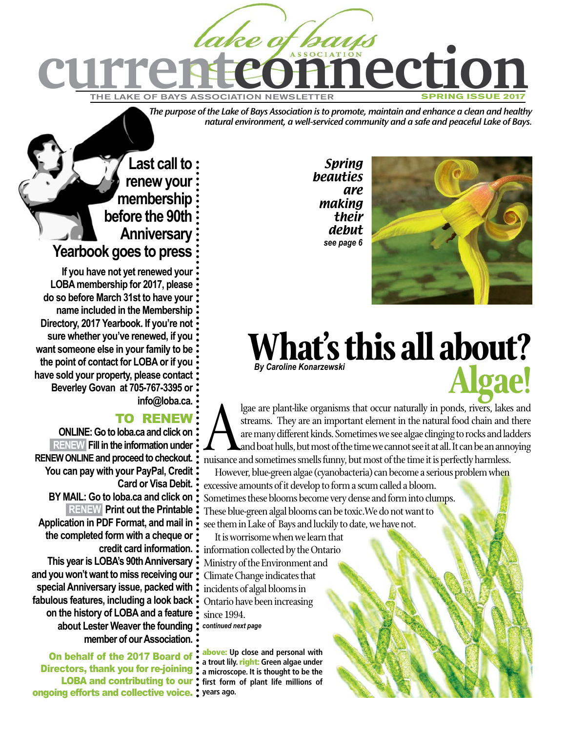

*The purpose of the Lake of Bays Association is to promote, maintain and enhance a clean and healthy natural environment, a well-serviced community and a safe and peaceful Lake of Bays.*

> Spring beauties are making their debut *see page 6*



# **What's this all about? Algae!** *By Caroline Konarzewski*

Igae are plant-like organisms that occur naturally in ponds, rivers, lakes and streams. They are an important element in the natural food chain and there are many different kinds. Sometimes we see algae clinging to rocks a streams. They are an important element in the natural food chain and there are many different kinds. Sometimes we see algae clinging to rocks and ladders and boat hulls, but most of the time we cannot see it at all. It can be an annoying nuisance and sometimes smells funny, but most of the time it is perfectly harmless.

However, blue-green algae (cyanobacteria) can become a serious problem when excessive amounts of it develop to form a scum called a bloom. Sometimes these blooms become very dense and form into clumps. These blue-green algal blooms can be toxic.We do not want to see them in Lake of Bays and luckily to date, we have not.

It is worrisome when we learn that information collected by the Ontario Ministry of the Environment and Climate Change indicates that incidents of algal blooms in Ontario have been increasing since 1994. *continued next page*

above: **Up close and personal with a trout lily.** right: **Green algae under a microscope. It is thought to be the first form of plant life millions of** 

## **Last call to renew your membership before the 90th Anniversary Yearbook goes to press**

**If you have not yet renewed your LOBA membership for 2017, please do so before March 31st to have your name included in the Membership Directory, 2017 Yearbook. If you're not sure whether you've renewed, if you want someone else in your family to be the point of contact for LOBA or if you have sold your property, please contact Beverley Govan at 705-767-3395 or info@loba.ca.** 

## TO RENEW

**ONLINE: Go to loba.ca and click on RENEW Fill in the information under RENEW ONLINE and proceed to checkout. You can pay with your PayPal, Credit Card or Visa Debit. BY MAIL: Go to loba.ca and click on RENEW Print out the Printable Application in PDF Format, and mail in the completed form with a cheque or credit card information. This year is LOBA's 90th Anniversary and you won't want to miss receiving our special Anniversary issue, packed with fabulous features, including a look back on the history of LOBA and a feature about Lester Weaver the founding member of our Association.**

On behalf of the 2017 Board of: Directors, thank you for re-joining: LOBA and contributing to our ongoing efforts and collective voice. **years ago.**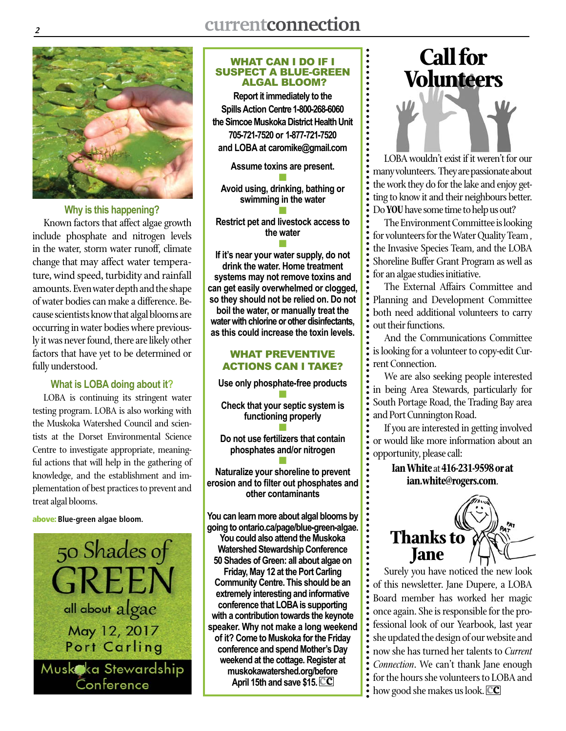

**Why is this happening?**

Known factors that affect algae growth include phosphate and nitrogen levels in the water, storm water runoff, climate change that may affect water temperature, wind speed, turbidity and rainfall amounts. Even water depth and the shape of water bodies can make a difference. Because scientists know that algal blooms are occurring in water bodies where previously it was never found, there are likely other factors that have yet to be determined or fully understood.

#### **What is LOBA doing about it?**

LOBA is continuing its stringent water testing program. LOBA is also working with the Muskoka Watershed Council and scientists at the Dorset Environmental Science Centre to investigate appropriate, meaningful actions that will help in the gathering of knowledge, and the establishment and implementation of best practices to prevent and treat algal blooms.

#### above: **Blue-green algae bloom.**



#### WHAT CAN I DO IF I SUSPECT A BLUE-GREEN ALGAL BLOOM?

**Report it immediately to the Spills Action Centre 1-800-268-6060 the Simcoe Muskoka District Health Unit 705-721-7520 or 1-877-721-7520 and LOBA at caromike@gmail.com**

......

**Assume toxins are present.** n

**Avoid using, drinking, bathing or swimming in the water** n

**Restrict pet and livestock access to the water**

n **If it's near your water supply, do not drink the water. Home treatment systems may not remove toxins and can get easily overwhelmed or clogged, so they should not be relied on. Do not boil the water, or manually treat the water with chlorine or other disinfectants, as this could increase the toxin levels.**

#### WHAT PREVENTIVE ACTIONS CAN I TAKE?

**Use only phosphate-free products** n **Check that your septic system is functioning properly** n

**Do not use fertilizers that contain phosphates and/or nitrogen** n

**Naturalize your shoreline to prevent erosion and to filter out phosphates and other contaminants**

**You can learn more about algal blooms by going to ontario.ca/page/blue-green-algae. You could also attend the Muskoka Watershed Stewardship Conference 50 Shades of Green: all about algae on Friday, May 12 at the Port Carling Community Centre. This should be an extremely interesting and informative conference that LOBA is supporting with a contribution towards the keynote speaker. Why not make a long weekend of it? Come to Muskoka for the Friday conference and spend Mother's Day weekend at the cottage. Register at muskokawatershed.org/before April 15th and save \$15. cc**

# **Call for Volunteers**

LOBA wouldn't exist if it weren't for our many volunteers. They are passionate about the work they do for the lake and enjoy getting to know it and their neighbours better. Do **YOU** have some time to help us out?

The Environment Committee is looking for volunteers for the Water Quality Team , the Invasive Species Team, and the LOBA Shoreline Buffer Grant Program as well as for an algae studies initiative.

The External Affairs Committee and Planning and Development Committee both need additional volunteers to carry out their functions.

And the Communications Committee is looking for a volunteer to copy-edit Current Connection.

We are also seeking people interested in being Area Stewards, particularly for South Portage Road, the Trading Bay area and Port Cunnington Road.

If you are interested in getting involved or would like more information about an opportunity, please call:

> **Ian White** at **416-231-9598or at ian.white@rogers.com**.



Surely you have noticed the new look of this newsletter. Jane Dupere, a LOBA Board member has worked her magic once again. She is responsible for the professional look of our Yearbook, last year she updated the design of our website and now she has turned her talents to *Current Connection*. We can't thank Jane enough for the hours she volunteers to LOBA and how good she makes us look. **cc**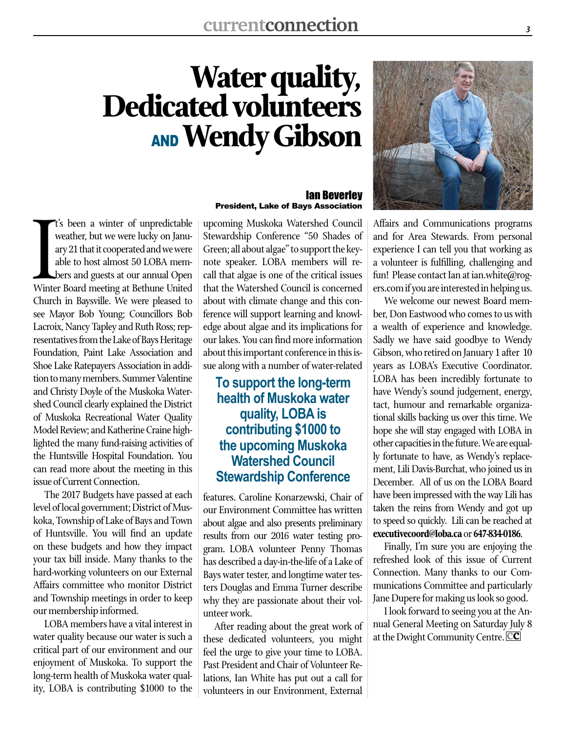# **Water quality, Dedicated volunteers** AND**Wendy Gibson**

I's been a winter of unpredictable<br>weather, but we were lucky on Janu-<br>ary 21 that it cooperated and we were<br>able to host almost 50 LOBA mem-<br>bers and guests at our annual Open<br>Winter Board meeting at Bethune United t's been a winter of unpredictable weather, but we were lucky on January 21 that it cooperated and we were able to host almost 50 LOBA members and guests at our annual Open Church in Baysville. We were pleased to see Mayor Bob Young; Councillors Bob Lacroix, Nancy Tapley and Ruth Ross; representatives from the Lake of Bays Heritage Foundation, Paint Lake Association and Shoe Lake Ratepayers Association in addition to many members. Summer Valentine and Christy Doyle of the Muskoka Watershed Council clearly explained the District of Muskoka Recreational Water Quality Model Review; and Katherine Craine highlighted the many fund-raising activities of the Huntsville Hospital Foundation. You can read more about the meeting in this issue of Current Connection.

The 2017 Budgets have passed at each level of local government; District of Muskoka, Township of Lake of Bays and Town of Huntsville. You will find an update on these budgets and how they impact your tax bill inside. Many thanks to the hard-working volunteers on our External Affairs committee who monitor District and Township meetings in order to keep our membership informed.

LOBA members have a vital interest in water quality because our water is such a critical part of our environment and our enjoyment of Muskoka. To support the long-term health of Muskoka water quality, LOBA is contributing \$1000 to the

#### Ian Beverley President, Lake of Bays Association

upcoming Muskoka Watershed Council Stewardship Conference "50 Shades of Green; all about algae" to support the keynote speaker. LOBA members will recall that algae is one of the critical issues that the Watershed Council is concerned about with climate change and this conference will support learning and knowledge about algae and its implications for our lakes. You can find more information about this important conference in this issue along with a number of water-related

## **To support the long-term health of Muskoka water quality, LOBA is contributing \$1000 to the upcoming Muskoka Watershed Council Stewardship Conference**

features. Caroline Konarzewski, Chair of our Environment Committee has written about algae and also presents preliminary results from our 2016 water testing program. LOBA volunteer Penny Thomas has described a day-in-the-life of a Lake of Bays water tester, and longtime water testers Douglas and Emma Turner describe why they are passionate about their volunteer work.

After reading about the great work of these dedicated volunteers, you might feel the urge to give your time to LOBA. Past President and Chair of Volunteer Relations, Ian White has put out a call for volunteers in our Environment, External



and for Area Stewards. From personal experience I can tell you that working as a volunteer is fulfilling, challenging and fun! Please contact Ian at ian.white@rogers.com if you are interested in helping us.

We welcome our newest Board member, Don Eastwood who comes to us with a wealth of experience and knowledge. Sadly we have said goodbye to Wendy Gibson, who retired on January 1 after 10 years as LOBA's Executive Coordinator. LOBA has been incredibly fortunate to have Wendy's sound judgement, energy, tact, humour and remarkable organizational skills backing us over this time. We hope she will stay engaged with LOBA in other capacities in the future. We are equally fortunate to have, as Wendy's replacement, Lili Davis-Burchat, who joined us in December. All of us on the LOBA Board have been impressed with the way Lili has taken the reins from Wendy and got up to speed so quickly. Lili can be reached at **executivecoord@loba.ca** or **647-834-0186**.

Finally, I'm sure you are enjoying the refreshed look of this issue of Current Connection. Many thanks to our Communications Committee and particularly Jane Dupere for making us look so good.

I look forward to seeing you at the Annual General Meeting on Saturday July 8 at the Dwight Community Centre. **cc**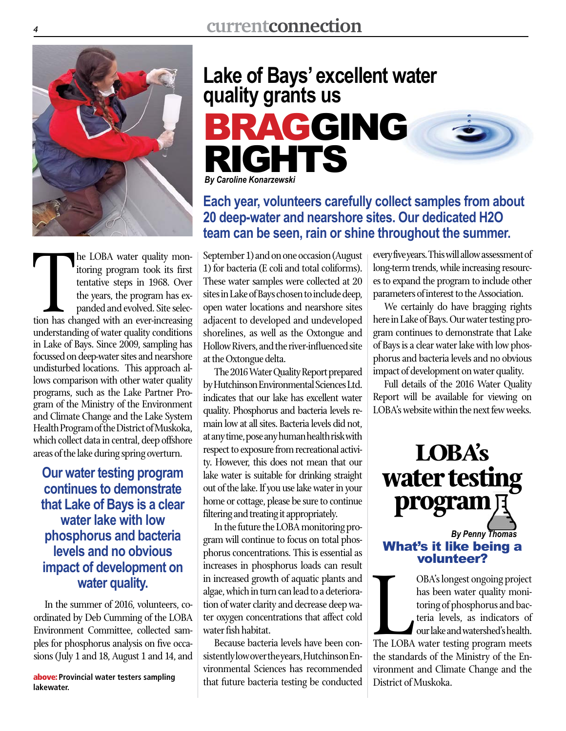

The LOBA water quality mon-<br>itoring program took its first<br>tentative steps in 1968. Over<br>the years, the program has ex-<br>panded and evolved. Site selec-<br>tion has changed with an ever-increasing he LOBA water quality monitoring program took its first tentative steps in 1968. Over the years, the program has expanded and evolved. Site selecunderstanding of water quality conditions in Lake of Bays. Since 2009, sampling has focussed on deep-water sites and nearshore undisturbed locations. This approach allows comparison with other water quality programs, such as the Lake Partner Program of the Ministry of the Environment and Climate Change and the Lake System Health Program of the District of Muskoka, which collect data in central, deep offshore areas of the lake during spring overturn.

**Our water testing program continues to demonstrate that Lake of Bays is a clear water lake with low phosphorus and bacteria levels and no obvious impact of development on water quality.** 

In the summer of 2016, volunteers, coordinated by Deb Cumming of the LOBA Environment Committee, collected samples for phosphorus analysis on five occasions (July 1 and 18, August 1 and 14, and

**lakewater.**

## **Lake of Bays' excellent water quality grants us**



*By Caroline Konarzewski*

## **Each year, volunteers carefully collect samples from about 20 deep-water and nearshore sites. Our dedicated H2O team can be seen, rain or shine throughout the summer.**

September 1) and on one occasion (August 1) for bacteria (E coli and total coliforms). These water samples were collected at 20 sites in Lake of Bays chosen to include deep, open water locations and nearshore sites adjacent to developed and undeveloped shorelines, as well as the Oxtongue and Hollow Rivers, and the river-influenced site at the Oxtongue delta.

The 2016 Water Quality Report prepared by Hutchinson Environmental Sciences Ltd. indicates that our lake has excellent water quality. Phosphorus and bacteria levels remain low at all sites. Bacteria levels did not, at any time, pose any human health risk with respect to exposure from recreational activity. However, this does not mean that our lake water is suitable for drinking straight out of the lake. If you use lake water in your home or cottage, please be sure to continue filtering and treating it appropriately.

In the future the LOBA monitoring program will continue to focus on total phosphorus concentrations. This is essential as increases in phosphorus loads can result in increased growth of aquatic plants and algae, which in turn can lead to a deterioration of water clarity and decrease deep water oxygen concentrations that affect cold water fish habitat.

Because bacteria levels have been consistently low over the years, Hutchinson Environmental Sciences has recommended **above:** Provincial water testers sampling above: that future bacteria testing be conducted every five years. This will allow assessment of long-term trends, while increasing resources to expand the program to include other parameters of interest to the Association.

We certainly do have bragging rights here in Lake of Bays. Our water testing program continues to demonstrate that Lake of Bays is a clear water lake with low phosphorus and bacteria levels and no obvious impact of development on water quality.

Full details of the 2016 Water Quality Report will be available for viewing on LOBA's website within the next few weeks.



OBA's longest ongoing project<br>has been water quality moni-<br>toring of phosphorus and bac-<br>teria levels, as indicators of<br>our lake and watershed's health.<br>The LOBA water testing program meets OBA's longest ongoing project has been water quality monitoring of phosphorus and bacteria levels, as indicators of our lake and watershed's health. the standards of the Ministry of the Environment and Climate Change and the District of Muskoka.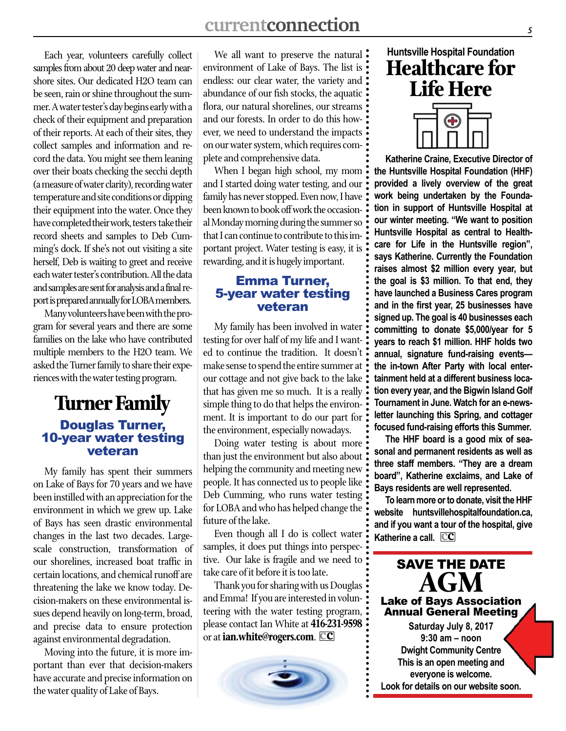Each year, volunteers carefully collect samples from about 20 deep water and nearshore sites. Our dedicated H2O team can be seen, rain or shine throughout the summer. A water tester's day begins early with a check of their equipment and preparation of their reports. At each of their sites, they collect samples and information and record the data. You might see them leaning over their boats checking the secchi depth (a measure of water clarity), recording water temperature and site conditions or dipping their equipment into the water. Once they have completed their work, testers take their record sheets and samples to Deb Cumming's dock. If she's not out visiting a site herself, Deb is waiting to greet and receive each water tester's contribution. All the data and samples are sent for analysis and a final report is prepared annually for LOBA members.

Many volunteers have been with the program for several years and there are some families on the lake who have contributed multiple members to the H2O team. We asked the Turner family to share their experiences with the water testing program.

## **Turner Family** Douglas Turner, 10-year water testing veteran

My family has spent their summers on Lake of Bays for 70 years and we have been instilled with an appreciation for the environment in which we grew up. Lake of Bays has seen drastic environmental changes in the last two decades. Largescale construction, transformation of our shorelines, increased boat traffic in certain locations, and chemical runoff are threatening the lake we know today. Decision-makers on these environmental issues depend heavily on long-term, broad, and precise data to ensure protection against environmental degradation.

Moving into the future, it is more important than ever that decision-makers have accurate and precise information on the water quality of Lake of Bays.

We all want to preserve the natural : environment of Lake of Bays. The list is  $\cdot$ endless: our clear water, the variety and : abundance of our fish stocks, the aquatic: flora, our natural shorelines, our streams and our forests. In order to do this however, we need to understand the impacts on our water system, which requires complete and comprehensive data.

When I began high school, my mom and I started doing water testing, and our family has never stopped. Even now, I have been known to book off work the occasional Monday morning during the summer so that I can continue to contribute to this important project. Water testing is easy, it is rewarding, and it is hugely important.

#### Emma Turner, 5-year water testing veteran

My family has been involved in water testing for over half of my life and I wanted to continue the tradition. It doesn't make sense to spend the entire summer at our cottage and not give back to the lake: that has given me so much. It is a really : simple thing to do that helps the environment. It is important to do our part for the environment, especially nowadays.

Doing water testing is about more than just the environment but also about helping the community and meeting new people. It has connected us to people like Deb Cumming, who runs water testing: for LOBA and who has helped change the future of the lake.

Even though all I do is collect water samples, it does put things into perspective. Our lake is fragile and we need to take care of it before it is too late.

Thank you for sharing with us Douglas: and Emma! If you are interested in volunteering with the water testing program, please contact Ian White at **416-231-9598** or at **ian.white@rogers.com**. **cc**



# **Huntsville Hospital Foundation Healthcare for Life Here**



**Katherine Craine, Executive Director of the Huntsville Hospital Foundation (HHF) provided a lively overview of the great work being undertaken by the Foundation in support of Huntsville Hospital at our winter meeting. "We want to position Huntsville Hospital as central to Healthcare for Life in the Huntsville region", says Katherine. Currently the Foundation raises almost \$2 million every year, but the goal is \$3 million. To that end, they have launched a Business Cares program and in the first year, 25 businesses have signed up. The goal is 40 businesses each committing to donate \$5,000/year for 5 years to reach \$1 million. HHF holds two annual, signature fund-raising events the in-town After Party with local entertainment held at a different business location every year, and the Bigwin Island Golf Tournament in June. Watch for an e-newsletter launching this Spring, and cottager focused fund-raising efforts this Summer.** 

**The HHF board is a good mix of seasonal and permanent residents as well as three staff members. "They are a dream board", Katherine exclaims, and Lake of Bays residents are well represented.**

**To learn more or to donate, visit the HHF website huntsvillehospitalfoundation.ca, and if you want a tour of the hospital, give Katherine a call. cc**

SAVE THE DATE **AGM** Lake of Bays Association Annual General Meeting **Saturday July 8, 2017 9:30 am – noon Dwight Community Centre This is an open meeting and everyone is welcome. Look for details on our website soon.**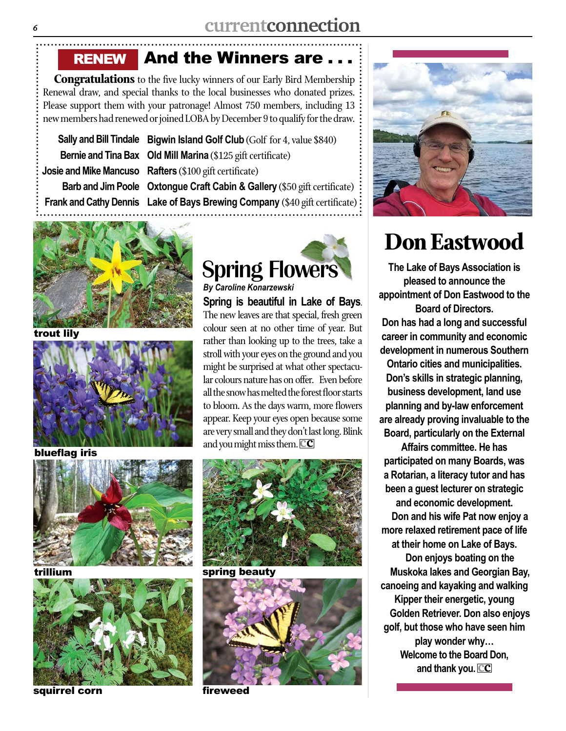And the Winners are RENEW

**Congratulations** to the five lucky winners of our Early Bird Membership Renewal draw, and special thanks to the local businesses who donated prizes. Please support them with your patronage! Almost 750 members, including 13 new members had renewed or joined LOBA by December 9 to qualify for the draw.

**Sally and Bill Tindale Bigwin Island Golf Club** (Golf for 4, value \$840) **Bernie and Tina Bax Old Mill Marina** (\$125 gift certificate) **Josie and Mike Mancuso Rafters** (\$100 gift certificate) Barb and Jim Poole Oxtongue Craft Cabin & Gallery (\$50 gift certificate) **Frank and Cathy Dennis Lake of Bays Brewing Company** (\$40 gift certificate)



trout lily



blueflag iris





squirrel corn



**Spring is beautiful in Lake of Bays**. The new leaves are that special, fresh green colour seen at no other time of year. But rather than looking up to the trees, take a stroll with your eyes on the ground and you might be surprised at what other spectacular colours nature has on offer. Even before all the snow has melted the forest floor starts to bloom. As the days warm, more flowers appear. Keep your eyes open because some are very small and they don't last long. Blink and you might miss them. **cc** *By Caroline Konarzewski*



spring beauty



fireweed



# **Don Eastwood**

**The Lake of Bays Association is pleased to announce the appointment of Don Eastwood to the Board of Directors.** 

**Don has had a long and successful career in community and economic development in numerous Southern** 

**Ontario cities and municipalities. Don's skills in strategic planning, business development, land use planning and by-law enforcement are already proving invaluable to the Board, particularly on the External** 

**Affairs committee. He has participated on many Boards, was a Rotarian, a literacy tutor and has been a guest lecturer on strategic and economic development. Don and his wife Pat now enjoy a more relaxed retirement pace of life at their home on Lake of Bays. Don enjoys boating on the**

**Muskoka lakes and Georgian Bay, canoeing and kayaking and walking Kipper their energetic, young Golden Retriever. Don also enjoys golf, but those who have seen him play wonder why… Welcome to the Board Don, and thank you. cc**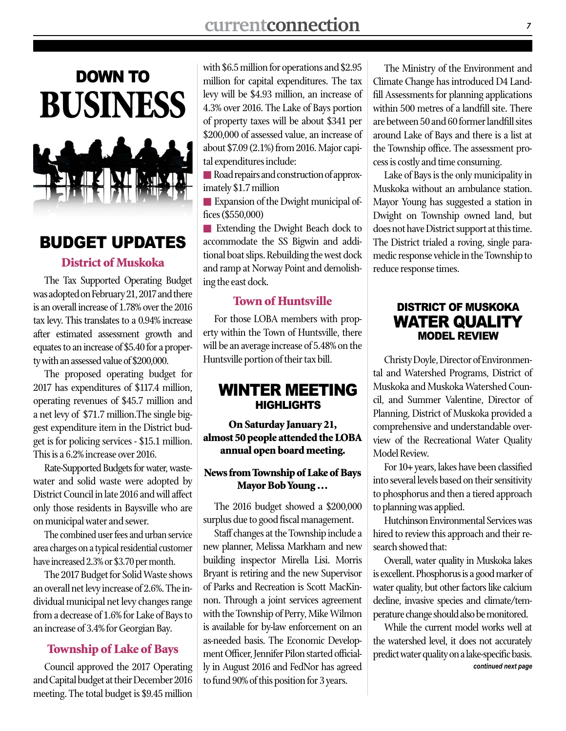

## BUDGET UPDATES

#### District of Muskoka

The Tax Supported Operating Budget was adopted on February 21, 2017 and there is an overall increase of 1.78% over the 2016 tax levy. This translates to a 0.94% increase after estimated assessment growth and equates to an increase of \$5.40 for a property with an assessed value of \$200,000.

The proposed operating budget for 2017 has expenditures of \$117.4 million, operating revenues of \$45.7 million and a net levy of \$71.7 million.The single biggest expenditure item in the District budget is for policing services - \$15.1 million. This is a 6.2% increase over 2016.

Rate-Supported Budgets for water, wastewater and solid waste were adopted by District Council in late 2016 and will affect only those residents in Baysville who are on municipal water and sewer.

The combined user fees and urban service area charges on a typical residential customer have increased 2.3% or \$3.70 per month.

The 2017 Budget for Solid Waste shows an overall net levy increase of 2.6%. The individual municipal net levy changes range from a decrease of 1.6% for Lake of Bays to an increase of 3.4% for Georgian Bay.

#### Township of Lake of Bays

Council approved the 2017 Operating and Capital budget at their December 2016 meeting. The total budget is \$9.45 million

with \$6.5 million for operations and \$2.95 million for capital expenditures. The tax levy will be \$4.93 million, an increase of 4.3% over 2016. The Lake of Bays portion of property taxes will be about \$341 per \$200,000 of assessed value, an increase of about \$7.09 (2.1%) from 2016. Major capital expenditures include:

Road repairs and construction of approximately \$1.7 million

**Expansion of the Dwight municipal of**fices (\$550,000)

**n** Extending the Dwight Beach dock to accommodate the SS Bigwin and additional boat slips. Rebuilding the west dock and ramp at Norway Point and demolishing the east dock.

### Town of Huntsville

For those LOBA members with property within the Town of Huntsville, there will be an average increase of 5.48% on the Huntsville portion of their tax bill.

## WINTER MEETING HIGHLIGHTS

On Saturday January 21, almost 50 people attended the LOBA annual open board meeting.

#### News from Township of Lake of Bays Mayor Bob Young …

The 2016 budget showed a \$200,000 surplus due to good fiscal management.

Staff changes at the Township include a new planner, Melissa Markham and new building inspector Mirella Lisi. Morris Bryant is retiring and the new Supervisor of Parks and Recreation is Scott MacKinnon. Through a joint services agreement with the Township of Perry, Mike Wilmon is available for by-law enforcement on an as-needed basis. The Economic Development Officer, Jennifer Pilon started officially in August 2016 and FedNor has agreed to fund 90% of this position for 3 years.

The Ministry of the Environment and Climate Change has introduced D4 Landfill Assessments for planning applications within 500 metres of a landfill site. There are between 50 and 60 former landfill sites around Lake of Bays and there is a list at the Township office. The assessment process is costly and time consuming.

Lake of Bays is the only municipality in Muskoka without an ambulance station. Mayor Young has suggested a station in Dwight on Township owned land, but does not have District support at this time. The District trialed a roving, single paramedic response vehicle in the Township to reduce response times.

### DISTRICT OF MUSKOKA WATER QUALITY MODEL REVIEW

Christy Doyle, Director of Environmental and Watershed Programs, District of Muskoka and Muskoka Watershed Council, and Summer Valentine, Director of Planning, District of Muskoka provided a comprehensive and understandable overview of the Recreational Water Quality Model Review.

For 10+ years, lakes have been classified into several levels based on their sensitivity to phosphorus and then a tiered approach to planning was applied.

Hutchinson Environmental Services was hired to review this approach and their research showed that:

Overall, water quality in Muskoka lakes is excellent. Phosphorus is a good marker of water quality, but other factors like calcium decline, invasive species and climate/temperature change should also be monitored.

While the current model works well at the watershed level, it does not accurately predict water quality on a lake-specific basis. *continued next page*